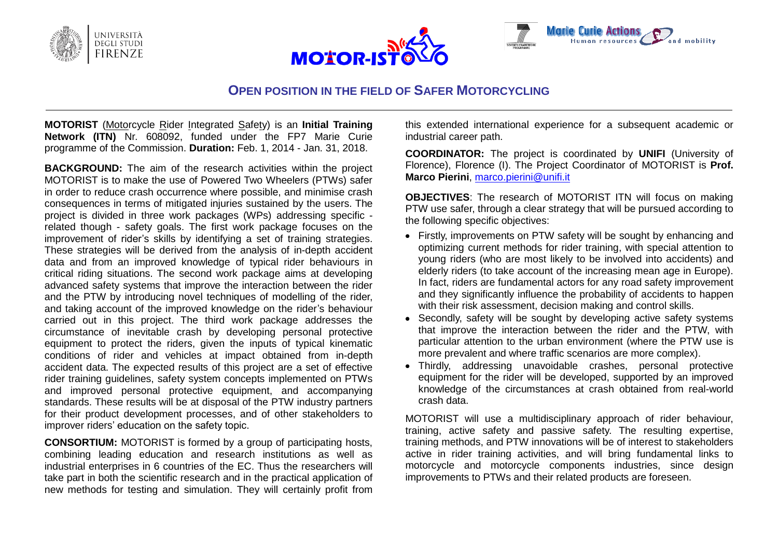





# **OPEN POSITION IN THE FIELD OF SAFER MOTORCYCLING**

**MOTORIST** (Motorcycle Rider Integrated Safety) is an **Initial Training Network (ITN)** Nr. 608092, funded under the FP7 Marie Curie programme of the Commission. **Duration:** Feb. 1, 2014 - Jan. 31, 2018.

**BACKGROUND:** The aim of the research activities within the project MOTORIST is to make the use of Powered Two Wheelers (PTWs) safer in order to reduce crash occurrence where possible, and minimise crash consequences in terms of mitigated injuries sustained by the users. The project is divided in three work packages (WPs) addressing specific related though - safety goals. The first work package focuses on the improvement of rider's skills by identifying a set of training strategies. These strategies will be derived from the analysis of in-depth accident data and from an improved knowledge of typical rider behaviours in critical riding situations. The second work package aims at developing advanced safety systems that improve the interaction between the rider and the PTW by introducing novel techniques of modelling of the rider, and taking account of the improved knowledge on the rider's behaviour carried out in this project. The third work package addresses the circumstance of inevitable crash by developing personal protective equipment to protect the riders, given the inputs of typical kinematic conditions of rider and vehicles at impact obtained from in-depth accident data. The expected results of this project are a set of effective rider training guidelines, safety system concepts implemented on PTWs and improved personal protective equipment, and accompanying standards. These results will be at disposal of the PTW industry partners for their product development processes, and of other stakeholders to improver riders' education on the safety topic.

**CONSORTIUM:** MOTORIST is formed by a group of participating hosts, combining leading education and research institutions as well as industrial enterprises in 6 countries of the EC. Thus the researchers will take part in both the scientific research and in the practical application of new methods for testing and simulation. They will certainly profit from

this extended international experience for a subsequent academic or industrial career path.

**COORDINATOR:** The project is coordinated by **UNIFI** (University of Florence), Florence (I). The Project Coordinator of MOTORIST is **Prof. Marco Pierini**, [marco.pierini@unifi.it](mailto:marco.pierini@unifi.it)

**OBJECTIVES**: The research of MOTORIST ITN will focus on making PTW use safer, through a clear strategy that will be pursued according to the following specific objectives:

- Firstly, improvements on PTW safety will be sought by enhancing and optimizing current methods for rider training, with special attention to young riders (who are most likely to be involved into accidents) and elderly riders (to take account of the increasing mean age in Europe). In fact, riders are fundamental actors for any road safety improvement and they significantly influence the probability of accidents to happen with their risk assessment, decision making and control skills.
- Secondly, safety will be sought by developing active safety systems that improve the interaction between the rider and the PTW, with particular attention to the urban environment (where the PTW use is more prevalent and where traffic scenarios are more complex).
- Thirdly, addressing unavoidable crashes, personal protective equipment for the rider will be developed, supported by an improved knowledge of the circumstances at crash obtained from real-world crash data.

MOTORIST will use a multidisciplinary approach of rider behaviour, training, active safety and passive safety. The resulting expertise, training methods, and PTW innovations will be of interest to stakeholders active in rider training activities, and will bring fundamental links to motorcycle and motorcycle components industries, since design improvements to PTWs and their related products are foreseen.